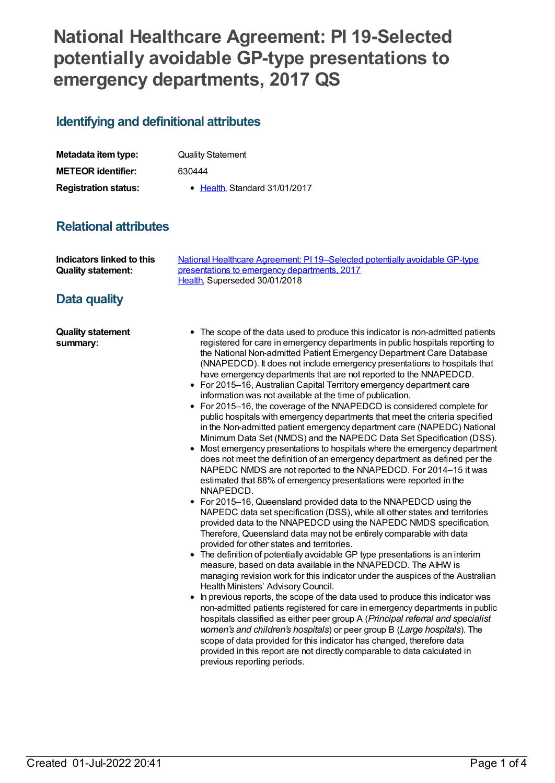# **National Healthcare Agreement: PI 19-Selected potentially avoidable GP-type presentations to emergency departments, 2017 QS**

#### **Identifying and definitional attributes**

| Metadata item type:         | <b>Quality Statement</b>      |
|-----------------------------|-------------------------------|
| <b>METEOR identifier:</b>   | 630444                        |
| <b>Registration status:</b> | • Health, Standard 31/01/2017 |

## **Relational attributes**

| Indicators linked to this | National Healthcare Agreement: PI 19–Selected potentially avoidable GP-type |
|---------------------------|-----------------------------------------------------------------------------|
| <b>Quality statement:</b> | presentations to emergency departments, 2017                                |
|                           | Health. Superseded 30/01/2018                                               |

## **Data quality**

**Quality statement summary:**

- The scope of the data used to produce this indicator is non-admitted patients registered for care in emergency departments in public hospitals reporting to the National Non-admitted Patient Emergency Department Care Database (NNAPEDCD). It does not include emergency presentations to hospitals that have emergency departments that are not reported to the NNAPEDCD.
- For 2015–16, Australian Capital Territory emergency department care information was not available at the time of publication.
- For 2015–16, the coverage of the NNAPEDCD is considered complete for public hospitals with emergency departments that meet the criteria specified in the Non-admitted patient emergency department care (NAPEDC) National Minimum Data Set (NMDS) and the NAPEDC Data Set Specification (DSS).
- Most emergency presentations to hospitals where the emergency department does not meet the definition of an emergency department as defined per the NAPEDC NMDS are not reported to the NNAPEDCD. For 2014–15 it was estimated that 88% of emergency presentations were reported in the NNAPEDCD.
- For 2015–16, Queensland provided data to the NNAPEDCD using the NAPEDC data set specification (DSS), while all other states and territories provided data to the NNAPEDCD using the NAPEDC NMDS specification. Therefore, Queensland data may not be entirely comparable with data provided for other states and territories.
- The definition of potentially avoidable GP type presentations is an interim measure, based on data available in the NNAPEDCD. The AIHW is managing revision work for this indicator under the auspices of the Australian Health Ministers' Advisory Council.
- In previous reports, the scope of the data used to produce this indicator was non-admitted patients registered for care in emergency departments in public hospitals classified as either peer group A (*Principal referral and specialist women's and children's hospitals*) or peer group B (*Large hospitals*). The scope of data provided for this indicator has changed, therefore data provided in this report are not directly comparable to data calculated in previous reporting periods.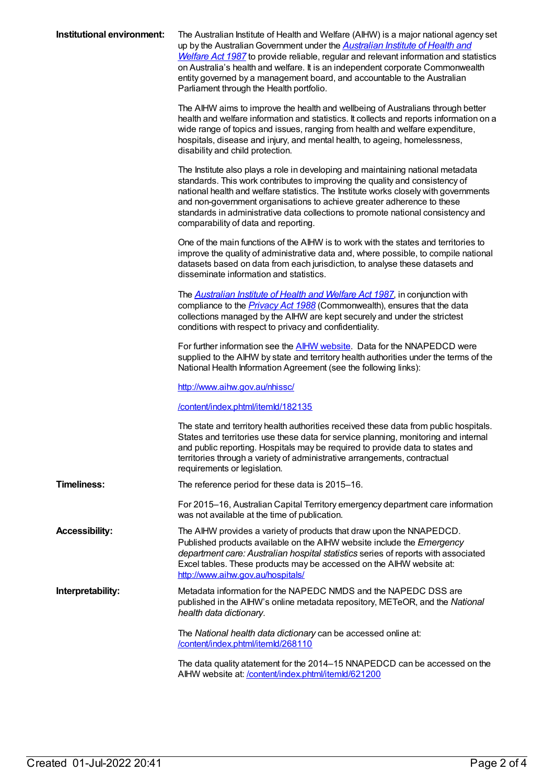| Institutional environment: | The Australian Institute of Health and Welfare (AIHW) is a major national agency set<br>up by the Australian Government under the <b>Australian Institute of Health and</b><br>Welfare Act 1987 to provide reliable, regular and relevant information and statistics<br>on Australia's health and welfare. It is an independent corporate Commonwealth<br>entity governed by a management board, and accountable to the Australian<br>Parliament through the Health portfolio. |
|----------------------------|--------------------------------------------------------------------------------------------------------------------------------------------------------------------------------------------------------------------------------------------------------------------------------------------------------------------------------------------------------------------------------------------------------------------------------------------------------------------------------|
|                            | The AIHW aims to improve the health and wellbeing of Australians through better<br>health and welfare information and statistics. It collects and reports information on a<br>wide range of topics and issues, ranging from health and welfare expenditure,<br>hospitals, disease and injury, and mental health, to ageing, homelessness,<br>disability and child protection.                                                                                                  |
|                            | The Institute also plays a role in developing and maintaining national metadata<br>standards. This work contributes to improving the quality and consistency of<br>national health and welfare statistics. The Institute works closely with governments<br>and non-government organisations to achieve greater adherence to these<br>standards in administrative data collections to promote national consistency and<br>comparability of data and reporting.                  |
|                            | One of the main functions of the AIHW is to work with the states and territories to<br>improve the quality of administrative data and, where possible, to compile national<br>datasets based on data from each jurisdiction, to analyse these datasets and<br>disseminate information and statistics.                                                                                                                                                                          |
|                            | The <b>Australian Institute of Health and Welfare Act 1987</b> , in conjunction with<br>compliance to the <i>Privacy Act 1988</i> (Commonwealth), ensures that the data<br>collections managed by the AIHW are kept securely and under the strictest<br>conditions with respect to privacy and confidentiality.                                                                                                                                                                |
|                            | For further information see the <b>AIHW</b> website. Data for the NNAPEDCD were<br>supplied to the AIHW by state and territory health authorities under the terms of the<br>National Health Information Agreement (see the following links):                                                                                                                                                                                                                                   |
|                            | http://www.aihw.gov.au/nhissc/                                                                                                                                                                                                                                                                                                                                                                                                                                                 |
|                            | /content/index.phtml/itemld/182135                                                                                                                                                                                                                                                                                                                                                                                                                                             |
|                            | The state and territory health authorities received these data from public hospitals.<br>States and territories use these data for service planning, monitoring and internal<br>and public reporting. Hospitals may be required to provide data to states and<br>territories through a variety of administrative arrangements, contractual<br>requirements or legislation.                                                                                                     |
| <b>Timeliness:</b>         | The reference period for these data is 2015-16.                                                                                                                                                                                                                                                                                                                                                                                                                                |
|                            | For 2015-16, Australian Capital Territory emergency department care information<br>was not available at the time of publication.                                                                                                                                                                                                                                                                                                                                               |
| <b>Accessibility:</b>      | The AIHW provides a variety of products that draw upon the NNAPEDCD.<br>Published products available on the AIHW website include the Emergency<br>department care: Australian hospital statistics series of reports with associated<br>Excel tables. These products may be accessed on the AIHW website at:<br>http://www.aihw.gov.au/hospitals/                                                                                                                               |
| Interpretability:          | Metadata information for the NAPEDC NMDS and the NAPEDC DSS are<br>published in the AIHW's online metadata repository, METeOR, and the National<br>health data dictionary.                                                                                                                                                                                                                                                                                                     |
|                            | The National health data dictionary can be accessed online at:<br>/content/index.phtml/itemld/268110                                                                                                                                                                                                                                                                                                                                                                           |
|                            | The data quality atatement for the 2014–15 NNAPEDCD can be accessed on the<br>AIHW website at: /content/index.phtml/itemld/621200                                                                                                                                                                                                                                                                                                                                              |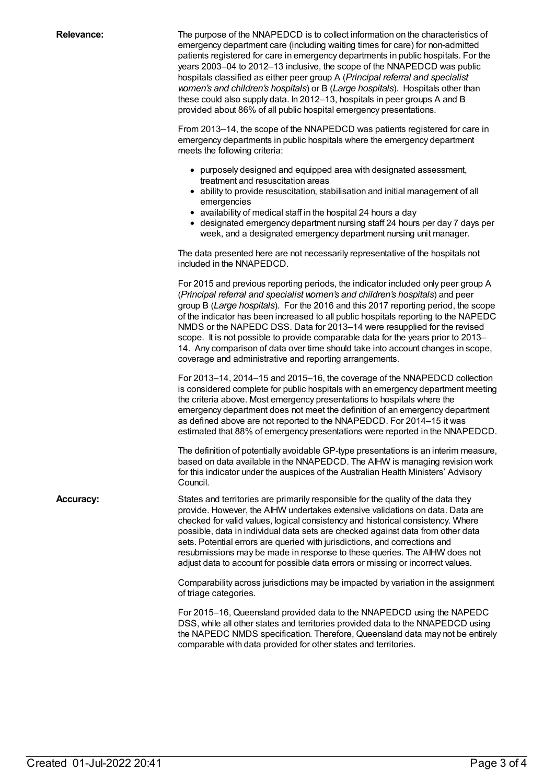**Relevance:** The purpose of the NNAPEDCD is to collect information on the characteristics of emergency department care (including waiting times for care) for non-admitted patients registered for care in emergency departments in public hospitals. For the years 2003–04 to 2012–13 inclusive, the scope of the NNAPEDCD was public hospitals classified as either peer group A (*Principal referral and specialist women's and children's hospitals*) or B (*Large hospitals*). Hospitals other than these could also supply data. In 2012–13, hospitals in peer groups A and B provided about 86% of all public hospital emergency presentations.

> From 2013–14, the scope of the NNAPEDCD was patients registered for care in emergency departments in public hospitals where the emergency department meets the following criteria:

- purposely designed and equipped area with designated assessment, treatment and resuscitation areas
- ability to provide resuscitation, stabilisation and initial management of all emergencies
- availability of medical staff in the hospital 24 hours a day
- designated emergency department nursing staff 24 hours per day 7 days per week, and a designated emergency department nursing unit manager.

The data presented here are not necessarily representative of the hospitals not included in the NNAPEDCD.

For 2015 and previous reporting periods, the indicator included only peer group A (*Principal referral and specialist women's and children's hospitals*) and peer group B (*Large hospitals*). For the 2016 and this 2017 reporting period, the scope of the indicator has been increased to all public hospitals reporting to the NAPEDC NMDS or the NAPEDC DSS. Data for 2013–14 were resupplied for the revised scope. It is not possible to provide comparable data for the years prior to 2013– 14. Any comparison of data over time should take into account changes in scope, coverage and administrative and reporting arrangements.

For 2013–14, 2014–15 and 2015–16, the coverage of the NNAPEDCD collection is considered complete for public hospitals with an emergency department meeting the criteria above. Most emergency presentations to hospitals where the emergency department does not meet the definition of an emergency department as defined above are not reported to the NNAPEDCD. For 2014–15 it was estimated that 88% of emergency presentations were reported in the NNAPEDCD.

The definition of potentially avoidable GP-type presentations is an interim measure, based on data available in the NNAPEDCD. The AIHW is managing revision work for this indicator under the auspices of the Australian Health Ministers' Advisory Council.

**Accuracy:** States and territories are primarily responsible for the quality of the data they provide. However, the AIHW undertakes extensive validations on data. Data are checked for valid values, logical consistency and historical consistency. Where possible, data in individual data sets are checked against data from other data sets. Potential errors are queried with jurisdictions, and corrections and resubmissions may be made in response to these queries. The AIHW does not adjust data to account for possible data errors or missing or incorrect values.

> Comparability across jurisdictions may be impacted by variation in the assignment of triage categories.

> For 2015–16, Queensland provided data to the NNAPEDCD using the NAPEDC DSS, while all other states and territories provided data to the NNAPEDCD using the NAPEDC NMDS specification. Therefore, Queensland data may not be entirely comparable with data provided for other states and territories.